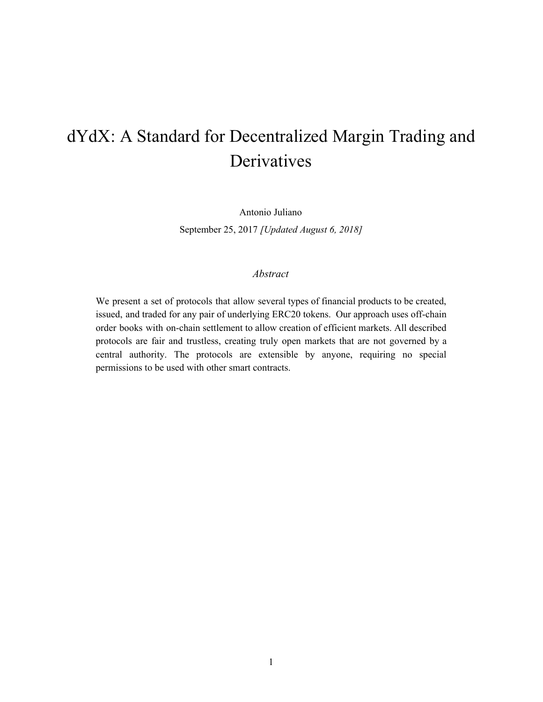# <span id="page-0-0"></span>dYdX: A Standard for Decentralized Margin Trading and Derivatives

Antonio Juliano September 25, 2017 *[Updated August 6, 2018]*

#### *Abstract*

We present a set of protocols that allow several types of financial products to be created, issued, and traded for any pair of underlying ERC20 tokens. Our approach uses off-chain order books with on-chain settlement to allow creation of efficient markets. All described protocols are fair and trustless, creating truly open markets that are not governed by a central authority. The protocols are extensible by anyone, requiring no special permissions to be used with other smart contracts.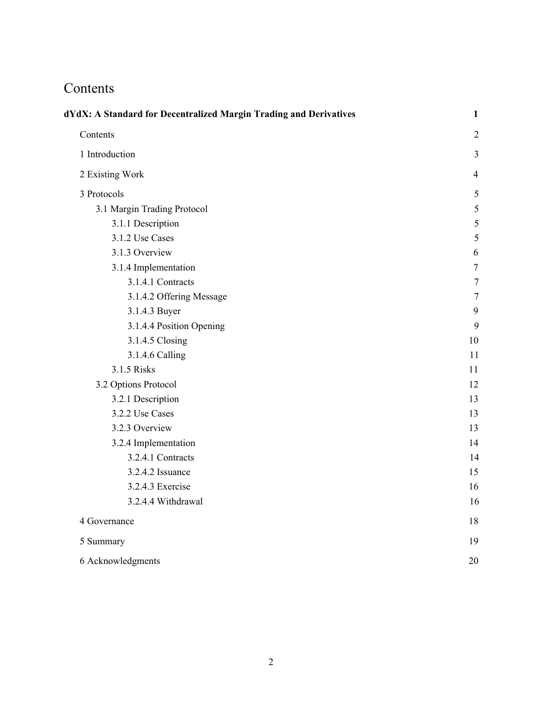# <span id="page-1-0"></span>Contents

| dYdX: A Standard for Decentralized Margin Trading and Derivatives |                  |  |
|-------------------------------------------------------------------|------------------|--|
| Contents                                                          | $\overline{2}$   |  |
| 1 Introduction                                                    | 3                |  |
| 2 Existing Work                                                   | 4                |  |
| 3 Protocols                                                       | 5                |  |
| 3.1 Margin Trading Protocol                                       | 5                |  |
| 3.1.1 Description                                                 | 5                |  |
| 3.1.2 Use Cases                                                   | 5                |  |
| 3.1.3 Overview                                                    | 6                |  |
| 3.1.4 Implementation                                              | $\boldsymbol{7}$ |  |
| 3.1.4.1 Contracts                                                 | $\overline{7}$   |  |
| 3.1.4.2 Offering Message                                          | $\overline{7}$   |  |
| 3.1.4.3 Buyer                                                     | 9                |  |
| 3.1.4.4 Position Opening                                          | 9                |  |
| 3.1.4.5 Closing                                                   | 10               |  |
| 3.1.4.6 Calling                                                   | 11               |  |
| 3.1.5 Risks                                                       | 11               |  |
| 3.2 Options Protocol                                              | 12               |  |
| 3.2.1 Description                                                 | 13               |  |
| 3.2.2 Use Cases                                                   | 13               |  |
| 3.2.3 Overview                                                    | 13               |  |
| 3.2.4 Implementation                                              | 14               |  |
| 3.2.4.1 Contracts                                                 | 14               |  |
| 3.2.4.2 Issuance                                                  | 15               |  |
| 3.2.4.3 Exercise                                                  | 16               |  |
| 3.2.4.4 Withdrawal                                                | 16               |  |
| 4 Governance                                                      | 18               |  |
| 5 Summary                                                         | 19               |  |
| 6 Acknowledgments                                                 | 20               |  |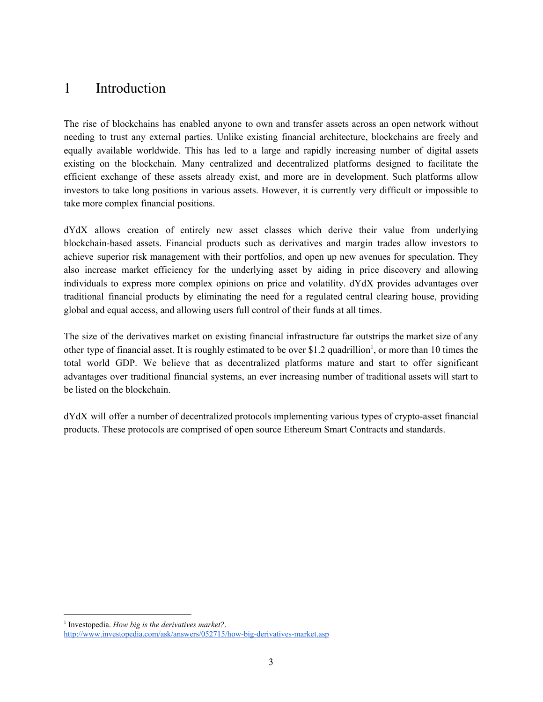### <span id="page-2-0"></span>1 Introduction

The rise of blockchains has enabled anyone to own and transfer assets across an open network without needing to trust any external parties. Unlike existing financial architecture, blockchains are freely and equally available worldwide. This has led to a large and rapidly increasing number of digital assets existing on the blockchain. Many centralized and decentralized platforms designed to facilitate the efficient exchange of these assets already exist, and more are in development. Such platforms allow investors to take long positions in various assets. However, it is currently very difficult or impossible to take more complex financial positions.

dYdX allows creation of entirely new asset classes which derive their value from underlying blockchain-based assets. Financial products such as derivatives and margin trades allow investors to achieve superior risk management with their portfolios, and open up new avenues for speculation. They also increase market efficiency for the underlying asset by aiding in price discovery and allowing individuals to express more complex opinions on price and volatility. dYdX provides advantages over traditional financial products by eliminating the need for a regulated central clearing house, providing global and equal access, and allowing users full control of their funds at all times.

The size of the derivatives market on existing financial infrastructure far outstrips the market size of any other type of financial asset. It is roughly estimated to be over \$1.2 quadrillion<sup>1</sup>, or more than 10 times the total world GDP. We believe that as decentralized platforms mature and start to offer significant advantages over traditional financial systems, an ever increasing number of traditional assets will start to be listed on the blockchain.

dYdX will offer a number of decentralized protocols implementing various types of crypto-asset financial products. These protocols are comprised of open source Ethereum Smart Contracts and standards.

<sup>1</sup> Investopedia. *How big is the derivatives market?*. <http://www.investopedia.com/ask/answers/052715/how-big-derivatives-market.asp>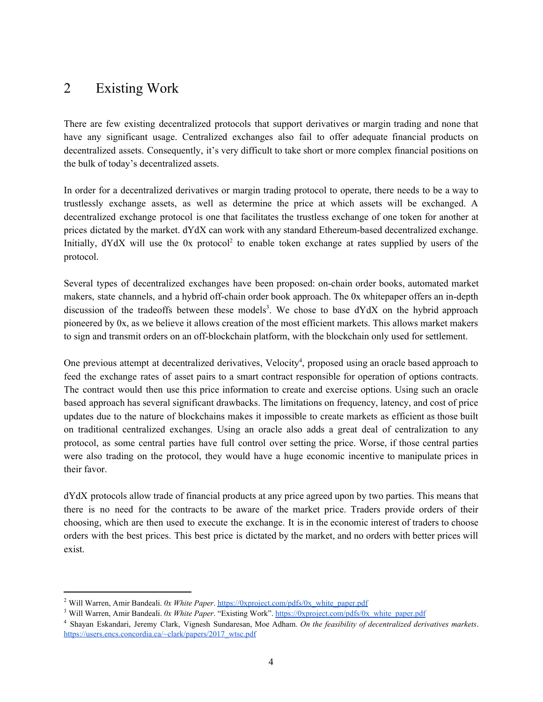### <span id="page-3-0"></span>2 Existing Work

There are few existing decentralized protocols that support derivatives or margin trading and none that have any significant usage. Centralized exchanges also fail to offer adequate financial products on decentralized assets. Consequently, it's very difficult to take short or more complex financial positions on the bulk of today's decentralized assets.

In order for a decentralized derivatives or margin trading protocol to operate, there needs to be a way to trustlessly exchange assets, as well as determine the price at which assets will be exchanged. A decentralized exchange protocol is one that facilitates the trustless exchange of one token for another at prices dictated by the market. dYdX can work with any standard Ethereum-based decentralized exchange. Initially,  $dYdX$  will use the 0x protocol<sup>2</sup> to enable token exchange at rates supplied by users of the protocol.

Several types of decentralized exchanges have been proposed: on-chain order books, automated market makers, state channels, and a hybrid off-chain order book approach. The 0x whitepaper offers an in-depth discussion of the tradeoffs between these models<sup>3</sup>. We chose to base  $dYdX$  on the hybrid approach pioneered by 0x, as we believe it allows creation of the most efficient markets. This allows market makers to sign and transmit orders on an off-blockchain platform, with the blockchain only used for settlement.

One previous attempt at decentralized derivatives, Velocity<sup>4</sup>, proposed using an oracle based approach to feed the exchange rates of asset pairs to a smart contract responsible for operation of options contracts. The contract would then use this price information to create and exercise options. Using such an oracle based approach has several significant drawbacks. The limitations on frequency, latency, and cost of price updates due to the nature of blockchains makes it impossible to create markets as efficient as those built on traditional centralized exchanges. Using an oracle also adds a great deal of centralization to any protocol, as some central parties have full control over setting the price. Worse, if those central parties were also trading on the protocol, they would have a huge economic incentive to manipulate prices in their favor.

dYdX protocols allow trade of financial products at any price agreed upon by two parties. This means that there is no need for the contracts to be aware of the market price. Traders provide orders of their choosing, which are then used to execute the exchange. It is in the economic interest of traders to choose orders with the best prices. This best price is dictated by the market, and no orders with better prices will exist.

<sup>2</sup> Will Warren, Amir Bandeali. *0x White Paper*. [https://0xproject.com/pdfs/0x\\_white\\_paper.pdf](https://0xproject.com/pdfs/0x_white_paper.pdf)

<sup>3</sup> Will Warren, Amir Bandeali. *0x White Paper*. "Existing Work". [https://0xproject.com/pdfs/0x\\_white\\_paper.pdf](https://0xproject.com/pdfs/0x_white_paper.pdf)

<sup>4</sup> Shayan Eskandari, Jeremy Clark, Vignesh Sundaresan, Moe Adham. *On the feasibility of decentralized derivatives markets*. [https://users.encs.concordia.ca/~clark/papers/2017\\_wtsc.pdf](https://users.encs.concordia.ca/~clark/papers/2017_wtsc.pdf)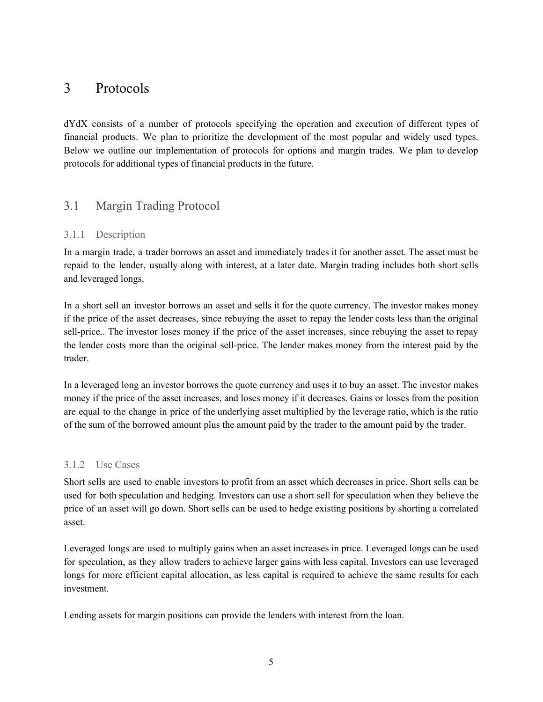### <span id="page-4-0"></span>3 Protocols

dYdX consists of a number of protocols specifying the operation and execution of different types of financial products. We plan to prioritize the development of the most popular and widely used types. Below we outline our implementation of protocols for options and margin trades. We plan to develop protocols for additional types of financial products in the future.

### <span id="page-4-1"></span>3.1 Margin Trading Protocol

#### <span id="page-4-2"></span>3.1.1 Description

In a margin trade, a trader borrows an asset and immediately trades it for another asset. The asset must be repaid to the lender, usually along with interest, at a later date. Margin trading includes both short sells and leveraged longs.

In a short sell an investor borrows an asset and sells it for the quote currency. The investor makes money if the price of the asset decreases, since rebuying the asset to repay the lender costs less than the original sell-price.. The investor loses money if the price of the asset increases, since rebuying the asset to repay the lender costs more than the original sell-price. The lender makes money from the interest paid by the trader.

In a leveraged long an investor borrows the quote currency and uses it to buy an asset. The investor makes money if the price of the asset increases, and loses money if it decreases. Gains or losses from the position are equal to the change in price of the underlying asset multiplied by the leverage ratio, which is the ratio of the sum of the borrowed amount plus the amount paid by the trader to the amount paid by the trader.

#### <span id="page-4-3"></span>3.1.2 Use Cases

Short sells are used to enable investors to profit from an asset which decreases in price. Short sells can be used for both speculation and hedging. Investors can use a short sell for speculation when they believe the price of an asset will go down. Short sells can be used to hedge existing positions by shorting a correlated asset.

Leveraged longs are used to multiply gains when an asset increases in price. Leveraged longs can be used for speculation, as they allow traders to achieve larger gains with less capital. Investors can use leveraged longs for more efficient capital allocation, as less capital is required to achieve the same results for each investment.

Lending assets for margin positions can provide the lenders with interest from the loan.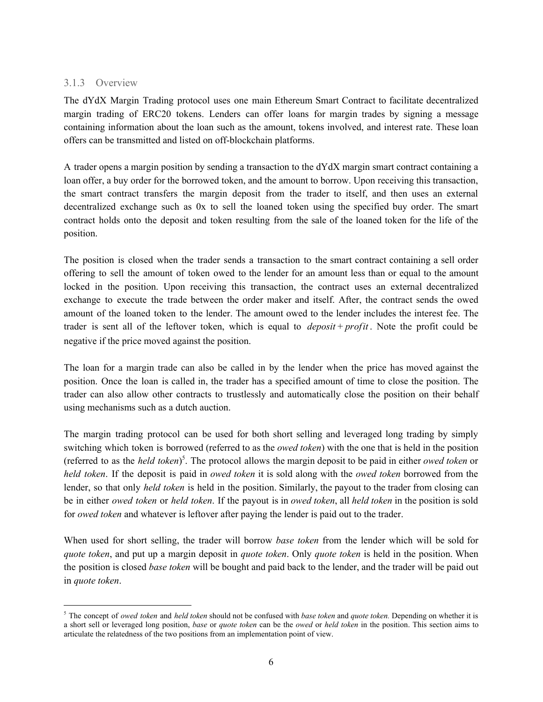#### <span id="page-5-0"></span>3.1.3 Overview

The dYdX Margin Trading protocol uses one main Ethereum Smart Contract to facilitate decentralized margin trading of ERC20 tokens. Lenders can offer loans for margin trades by signing a message containing information about the loan such as the amount, tokens involved, and interest rate. These loan offers can be transmitted and listed on off-blockchain platforms.

A trader opens a margin position by sending a transaction to the dYdX margin smart contract containing a loan offer, a buy order for the borrowed token, and the amount to borrow. Upon receiving this transaction, the smart contract transfers the margin deposit from the trader to itself, and then uses an external decentralized exchange such as 0x to sell the loaned token using the specified buy order. The smart contract holds onto the deposit and token resulting from the sale of the loaned token for the life of the position.

The position is closed when the trader sends a transaction to the smart contract containing a sell order offering to sell the amount of token owed to the lender for an amount less than or equal to the amount locked in the position. Upon receiving this transaction, the contract uses an external decentralized exchange to execute the trade between the order maker and itself. After, the contract sends the owed amount of the loaned token to the lender. The amount owed to the lender includes the interest fee. The trader is sent all of the leftover token, which is equal to *deposit* + *profit* . Note the profit could be negative if the price moved against the position.

The loan for a margin trade can also be called in by the lender when the price has moved against the position. Once the loan is called in, the trader has a specified amount of time to close the position. The trader can also allow other contracts to trustlessly and automatically close the position on their behalf using mechanisms such as a dutch auction.

The margin trading protocol can be used for both short selling and leveraged long trading by simply switching which token is borrowed (referred to as the *owed token*) with the one that is held in the position (referred to as the *held token*) . The protocol allows the margin deposit to be paid in either *owed token* or 5 *held token*. If the deposit is paid in *owed token* it is sold along with the *owed token* borrowed from the lender, so that only *held token* is held in the position. Similarly, the payout to the trader from closing can be in either *owed token* or *held token*. If the payout is in *owed token*, all *held token* in the position is sold for *owed token* and whatever is leftover after paying the lender is paid out to the trader.

When used for short selling, the trader will borrow *base token* from the lender which will be sold for *quote token*, and put up a margin deposit in *quote token*. Only *quote token* is held in the position. When the position is closed *base token* will be bought and paid back to the lender, and the trader will be paid out in *quote token*.

<sup>5</sup> The concept of *owed token* and *held token* should not be confused with *base token* and *quote token.* Depending on whether it is a short sell or leveraged long position, *base* or *quote token* can be the *owed* or *held token* in the position. This section aims to articulate the relatedness of the two positions from an implementation point of view.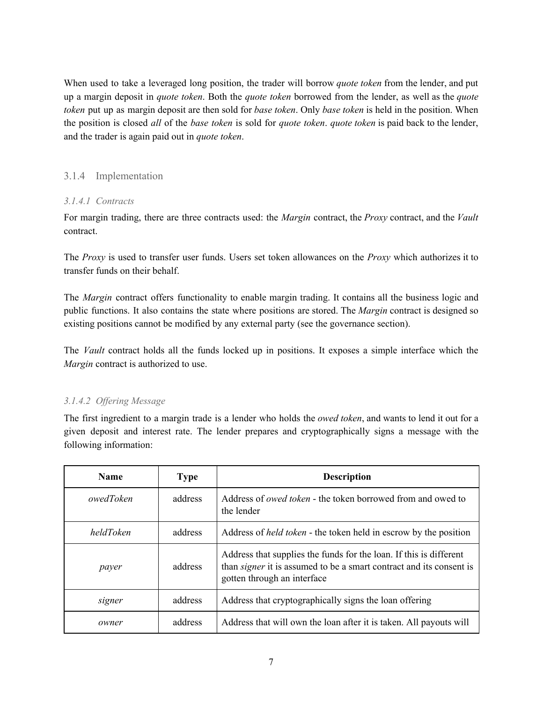When used to take a leveraged long position, the trader will borrow *quote token* from the lender, and put up a margin deposit in *quote token*. Both the *quote token* borrowed from the lender, as well as the *quote token* put up as margin deposit are then sold for *base token*. Only *base token* is held in the position. When the position is closed *all* of the *base token* is sold for *quote token*. *quote token* is paid back to the lender, and the trader is again paid out in *quote token*.

#### <span id="page-6-0"></span>3.1.4 Implementation

#### <span id="page-6-1"></span>*3.1.4.1 Contracts*

For margin trading, there are three contracts used: the *Margin* contract, the *Proxy* contract, and the *Vault* contract.

The *Proxy* is used to transfer user funds. Users set token allowances on the *Proxy* which authorizes it to transfer funds on their behalf.

The *Margin* contract offers functionality to enable margin trading. It contains all the business logic and public functions. It also contains the state where positions are stored. The *Margin* contract is designed so existing positions cannot be modified by any external party (see the governance section).

The *Vault* contract holds all the funds locked up in positions. It exposes a simple interface which the *Margin* contract is authorized to use.

#### <span id="page-6-2"></span>*3.1.4.2 Of ering Message*

The first ingredient to a margin trade is a lender who holds the *owed token*, and wants to lend it out for a given deposit and interest rate. The lender prepares and cryptographically signs a message with the following information:

| <b>Name</b> | <b>Type</b> | <b>Description</b>                                                                                                                                                              |
|-------------|-------------|---------------------------------------------------------------------------------------------------------------------------------------------------------------------------------|
| owedToken   | address     | Address of <i>owed token</i> - the token borrowed from and owed to<br>the lender                                                                                                |
| heldToken   | address     | Address of <i>held token</i> - the token held in escrow by the position                                                                                                         |
| payer       | address     | Address that supplies the funds for the loan. If this is different<br>than <i>signer</i> it is assumed to be a smart contract and its consent is<br>gotten through an interface |
| signer      | address     | Address that cryptographically signs the loan offering                                                                                                                          |
| owner       | address     | Address that will own the loan after it is taken. All payouts will                                                                                                              |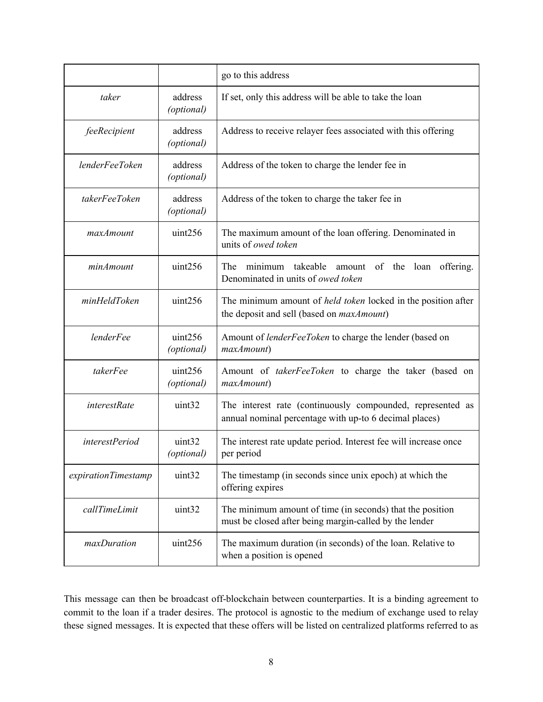|                     |                       | go to this address                                                                                                        |
|---------------------|-----------------------|---------------------------------------------------------------------------------------------------------------------------|
| taker               | address<br>(optional) | If set, only this address will be able to take the loan                                                                   |
| feeRecipient        | address<br>(optional) | Address to receive relayer fees associated with this offering                                                             |
| lenderFeeToken      | address<br>(optional) | Address of the token to charge the lender fee in                                                                          |
| takerFeeToken       | address<br>(optional) | Address of the token to charge the taker fee in                                                                           |
| maxAmount           | uint256               | The maximum amount of the loan offering. Denominated in<br>units of owed token                                            |
| minAmount           | uint256               | The<br>takeable<br>amount of the loan<br>offering.<br>minimum<br>Denominated in units of owed token                       |
| minHeldToken        | uint256               | The minimum amount of <i>held token</i> locked in the position after<br>the deposit and sell (based on <i>maxAmount</i> ) |
| lenderFee           | uint256<br>(optional) | Amount of lenderFeeToken to charge the lender (based on<br>maxAmount)                                                     |
| takerFee            | uint256<br>(optional) | Amount of <i>takerFeeToken</i> to charge the taker (based on<br>maxAmount)                                                |
| interestRate        | uint32                | The interest rate (continuously compounded, represented as<br>annual nominal percentage with up-to 6 decimal places)      |
| interestPeriod      | uint32<br>(optional)  | The interest rate update period. Interest fee will increase once<br>per period                                            |
| expirationTimestamp | uint32                | The timestamp (in seconds since unix epoch) at which the<br>offering expires                                              |
| callTimeLimit       | uint32                | The minimum amount of time (in seconds) that the position<br>must be closed after being margin-called by the lender       |
| maxDuration         | uint256               | The maximum duration (in seconds) of the loan. Relative to<br>when a position is opened                                   |

This message can then be broadcast off-blockchain between counterparties. It is a binding agreement to commit to the loan if a trader desires. The protocol is agnostic to the medium of exchange used to relay these signed messages. It is expected that these offers will be listed on centralized platforms referred to as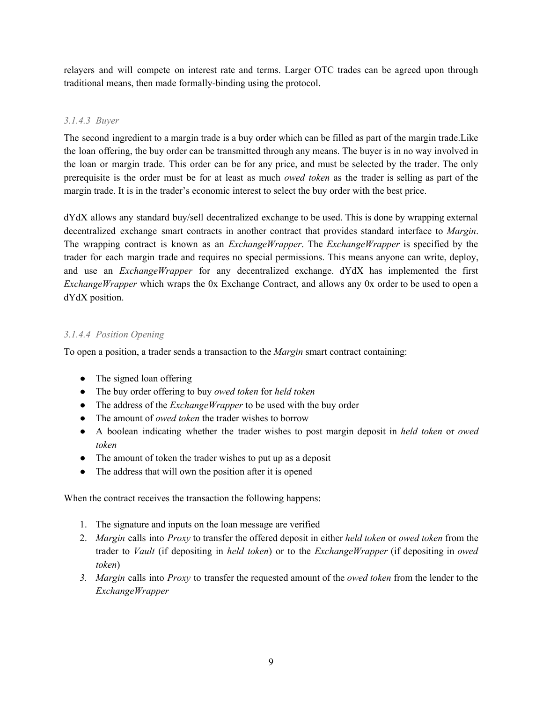relayers and will compete on interest rate and terms. Larger OTC trades can be agreed upon through traditional means, then made formally-binding using the protocol.

#### <span id="page-8-0"></span>*3.1.4.3 Buyer*

The second ingredient to a margin trade is a buy order which can be filled as part of the margin trade.Like the loan offering, the buy order can be transmitted through any means. The buyer is in no way involved in the loan or margin trade. This order can be for any price, and must be selected by the trader. The only prerequisite is the order must be for at least as much *owed token* as the trader is selling as part of the margin trade. It is in the trader's economic interest to select the buy order with the best price.

dYdX allows any standard buy/sell decentralized exchange to be used. This is done by wrapping external decentralized exchange smart contracts in another contract that provides standard interface to *Margin*. The wrapping contract is known as an *ExchangeWrapper*. The *ExchangeWrapper* is specified by the trader for each margin trade and requires no special permissions. This means anyone can write, deploy, and use an *ExchangeWrapper* for any decentralized exchange. dYdX has implemented the first *ExchangeWrapper* which wraps the 0x Exchange Contract, and allows any 0x order to be used to open a dYdX position.

#### <span id="page-8-1"></span>*3.1.4.4 Position Opening*

To open a position, a trader sends a transaction to the *Margin* smart contract containing:

- The signed loan offering
- The buy order offering to buy *owed token* for *held token*
- The address of the *ExchangeWrapper* to be used with the buy order
- The amount of *owed token* the trader wishes to borrow
- A boolean indicating whether the trader wishes to post margin deposit in *held token* or *owed token*
- The amount of token the trader wishes to put up as a deposit
- The address that will own the position after it is opened

When the contract receives the transaction the following happens:

- 1. The signature and inputs on the loan message are verified
- 2. *Margin* calls into *Proxy* to transfer the offered deposit in either *held token* or *owed token* from the trader to *Vault* (if depositing in *held token*) or to the *ExchangeWrapper* (if depositing in *owed token*)
- *3. Margin* calls into *Proxy* to transfer the requested amount of the *owed token* from the lender to the *ExchangeWrapper*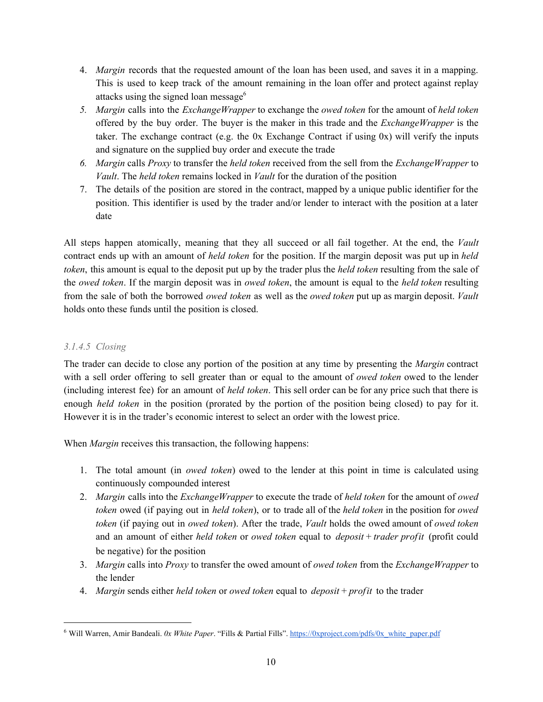- 4. *Margin* records that the requested amount of the loan has been used, and saves it in a mapping. This is used to keep track of the amount remaining in the loan offer and protect against replay attacks using the signed loan message 6
- *5. Margin* calls into the *ExchangeWrapper* to exchange the *owed token* for the amount of *held token* offered by the buy order. The buyer is the maker in this trade and the *ExchangeWrapper* is the taker. The exchange contract (e.g. the 0x Exchange Contract if using 0x) will verify the inputs and signature on the supplied buy order and execute the trade
- *6. Margin* calls *Proxy* to transfer the *held token* received from the sell from the *ExchangeWrapper* to *Vault*. The *held token* remains locked in *Vault* for the duration of the position
- 7. The details of the position are stored in the contract, mapped by a unique public identifier for the position. This identifier is used by the trader and/or lender to interact with the position at a later date

All steps happen atomically, meaning that they all succeed or all fail together. At the end, the *Vault* contract ends up with an amount of *held token* for the position. If the margin deposit was put up in *held token*, this amount is equal to the deposit put up by the trader plus the *held token* resulting from the sale of the *owed token*. If the margin deposit was in *owed token*, the amount is equal to the *held token* resulting from the sale of both the borrowed *owed token* as well as the *owed token* put up as margin deposit. *Vault* holds onto these funds until the position is closed.

#### <span id="page-9-0"></span>*3.1.4.5 Closing*

The trader can decide to close any portion of the position at any time by presenting the *Margin* contract with a sell order offering to sell greater than or equal to the amount of *owed token* owed to the lender (including interest fee) for an amount of *held token*. This sell order can be for any price such that there is enough *held token* in the position (prorated by the portion of the position being closed) to pay for it. However it is in the trader's economic interest to select an order with the lowest price.

When *Margin* receives this transaction, the following happens:

- 1. The total amount (in *owed token*) owed to the lender at this point in time is calculated using continuously compounded interest
- 2. *Margin* calls into the *ExchangeWrapper* to execute the trade of *held token* for the amount of *owed token* owed (if paying out in *held token*), or to trade all of the *held token* in the position for *owed token* (if paying out in *owed token*). After the trade, *Vault* holds the owed amount of *owed token* and an amount of either *held token* or *owed token* equal to *deposit* + *trader profit* (profit could be negative) for the position
- 3. *Margin* calls into *Proxy* to transfer the owed amount of *owed token* from the *ExchangeWrapper* to the lender
- 4. *Margin* sends either *held token* or *owed token* equal to *deposit* + *profit* to the trader

<sup>6</sup> Will Warren, Amir Bandeali. *0x White Paper*. "Fills & Partial Fills". [https://0xproject.com/pdfs/0x\\_white\\_paper.pdf](https://0xproject.com/pdfs/0x_white_paper.pdf)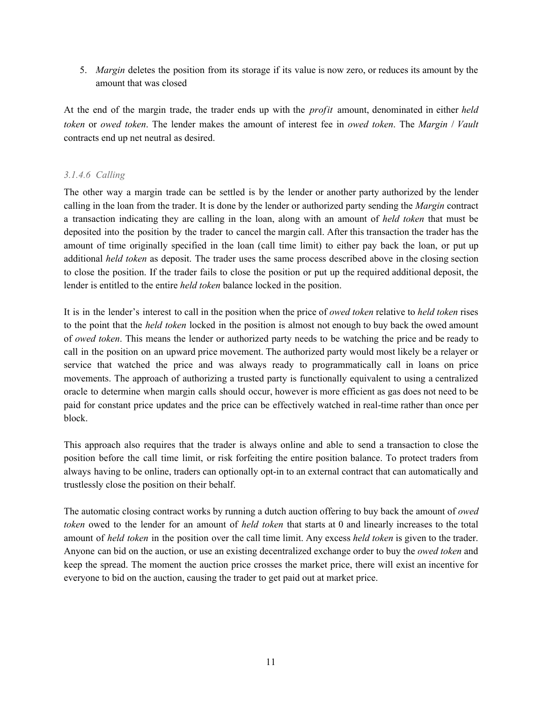5. *Margin* deletes the position from its storage if its value is now zero, or reduces its amount by the amount that was closed

At the end of the margin trade, the trader ends up with the *profit* amount, denominated in either *held token* or *owed token*. The lender makes the amount of interest fee in *owed token*. The *Margin* / *Vault* contracts end up net neutral as desired.

#### <span id="page-10-0"></span>*3.1.4.6 Calling*

The other way a margin trade can be settled is by the lender or another party authorized by the lender calling in the loan from the trader. It is done by the lender or authorized party sending the *Margin* contract a transaction indicating they are calling in the loan, along with an amount of *held token* that must be deposited into the position by the trader to cancel the margin call. After this transaction the trader has the amount of time originally specified in the loan (call time limit) to either pay back the loan, or put up additional *held token* as deposit. The trader uses the same process described above in the closing section to close the position. If the trader fails to close the position or put up the required additional deposit, the lender is entitled to the entire *held token* balance locked in the position.

It is in the lender's interest to call in the position when the price of *owed token* relative to *held token* rises to the point that the *held token* locked in the position is almost not enough to buy back the owed amount of *owed token*. This means the lender or authorized party needs to be watching the price and be ready to call in the position on an upward price movement. The authorized party would most likely be a relayer or service that watched the price and was always ready to programmatically call in loans on price movements. The approach of authorizing a trusted party is functionally equivalent to using a centralized oracle to determine when margin calls should occur, however is more efficient as gas does not need to be paid for constant price updates and the price can be effectively watched in real-time rather than once per block.

This approach also requires that the trader is always online and able to send a transaction to close the position before the call time limit, or risk forfeiting the entire position balance. To protect traders from always having to be online, traders can optionally opt-in to an external contract that can automatically and trustlessly close the position on their behalf.

The automatic closing contract works by running a dutch auction offering to buy back the amount of *owed token* owed to the lender for an amount of *held token* that starts at 0 and linearly increases to the total amount of *held token* in the position over the call time limit. Any excess *held token* is given to the trader. Anyone can bid on the auction, or use an existing decentralized exchange order to buy the *owed token* and keep the spread. The moment the auction price crosses the market price, there will exist an incentive for everyone to bid on the auction, causing the trader to get paid out at market price.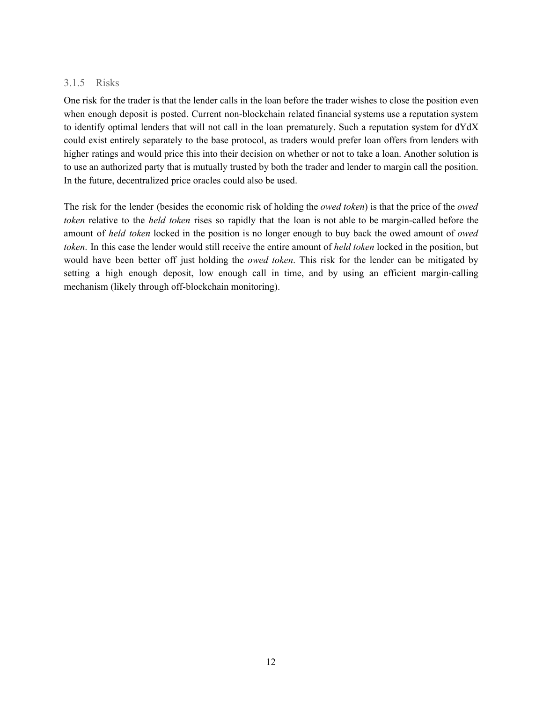#### <span id="page-11-0"></span>3.1.5 Risks

One risk for the trader is that the lender calls in the loan before the trader wishes to close the position even when enough deposit is posted. Current non-blockchain related financial systems use a reputation system to identify optimal lenders that will not call in the loan prematurely. Such a reputation system for dYdX could exist entirely separately to the base protocol, as traders would prefer loan offers from lenders with higher ratings and would price this into their decision on whether or not to take a loan. Another solution is to use an authorized party that is mutually trusted by both the trader and lender to margin call the position. In the future, decentralized price oracles could also be used.

<span id="page-11-1"></span>The risk for the lender (besides the economic risk of holding the *owed token*) is that the price of the *owed token* relative to the *held token* rises so rapidly that the loan is not able to be margin-called before the amount of *held token* locked in the position is no longer enough to buy back the owed amount of *owed token*. In this case the lender would still receive the entire amount of *held token* locked in the position, but would have been better off just holding the *owed token*. This risk for the lender can be mitigated by setting a high enough deposit, low enough call in time, and by using an efficient margin-calling mechanism (likely through off-blockchain monitoring).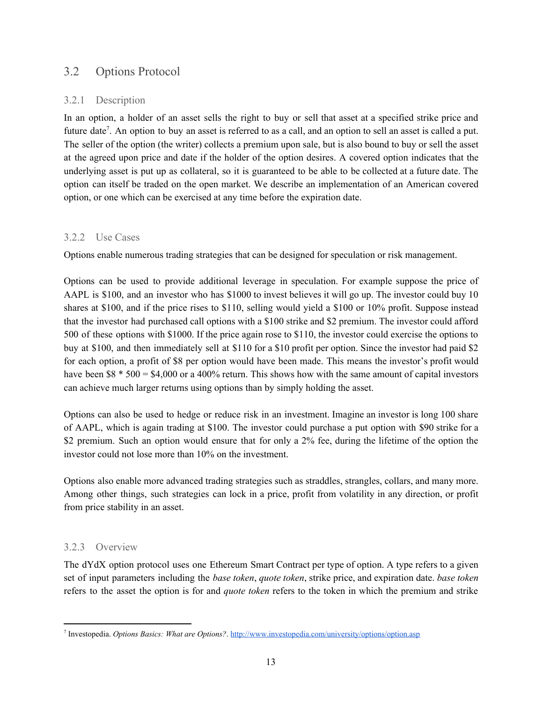#### 3.2 Options Protocol

#### <span id="page-12-0"></span>3.2.1 Description

In an option, a holder of an asset sells the right to buy or sell that asset at a specified strike price and future date<sup>7</sup>. An option to buy an asset is referred to as a call, and an option to sell an asset is called a put. The seller of the option (the writer) collects a premium upon sale, but is also bound to buy or sell the asset at the agreed upon price and date if the holder of the option desires. A covered option indicates that the underlying asset is put up as collateral, so it is guaranteed to be able to be collected at a future date. The option can itself be traded on the open market. We describe an implementation of an American covered option, or one which can be exercised at any time before the expiration date.

#### <span id="page-12-1"></span>3.2.2 Use Cases

Options enable numerous trading strategies that can be designed for speculation or risk management.

Options can be used to provide additional leverage in speculation. For example suppose the price of AAPL is \$100, and an investor who has \$1000 to invest believes it will go up. The investor could buy 10 shares at \$100, and if the price rises to \$110, selling would yield a \$100 or 10% profit. Suppose instead that the investor had purchased call options with a \$100 strike and \$2 premium. The investor could afford 500 of these options with \$1000. If the price again rose to \$110, the investor could exercise the options to buy at \$100, and then immediately sell at \$110 for a \$10 profit per option. Since the investor had paid \$2 for each option, a profit of \$8 per option would have been made. This means the investor's profit would have been \$8  $*$  500 = \$4,000 or a 400% return. This shows how with the same amount of capital investors can achieve much larger returns using options than by simply holding the asset.

Options can also be used to hedge or reduce risk in an investment. Imagine an investor is long 100 share of AAPL, which is again trading at \$100. The investor could purchase a put option with \$90 strike for a \$2 premium. Such an option would ensure that for only a 2% fee, during the lifetime of the option the investor could not lose more than 10% on the investment.

Options also enable more advanced trading strategies such as straddles, strangles, collars, and many more. Among other things, such strategies can lock in a price, profit from volatility in any direction, or profit from price stability in an asset.

#### <span id="page-12-2"></span>3.2.3 Overview

The dYdX option protocol uses one Ethereum Smart Contract per type of option. A type refers to a given set of input parameters including the *base token*, *quote token*, strike price, and expiration date. *base token* refers to the asset the option is for and *quote token* refers to the token in which the premium and strike

<sup>7</sup> Investopedia. *Options Basics: What are Options?*. <http://www.investopedia.com/university/options/option.asp>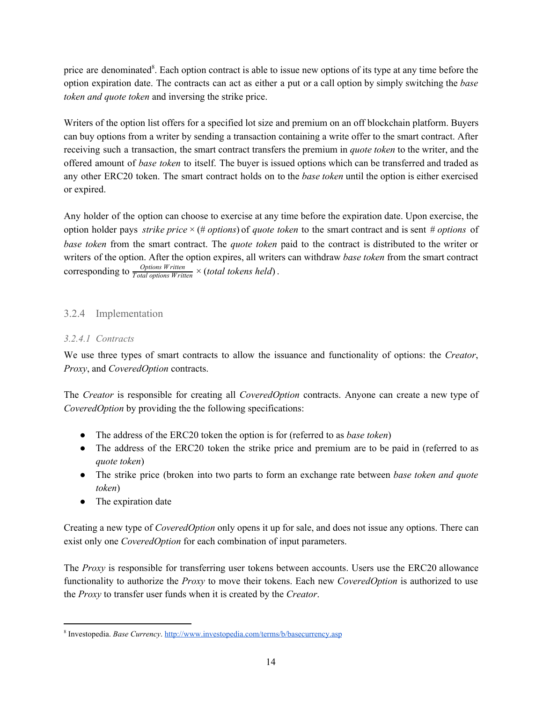price are denominated<sup>8</sup>. Each option contract is able to issue new options of its type at any time before the option expiration date. The contracts can act as either a put or a call option by simply switching the *base token and quote token* and inversing the strike price.

Writers of the option list offers for a specified lot size and premium on an off blockchain platform. Buyers can buy options from a writer by sending a transaction containing a write offer to the smart contract. After receiving such a transaction, the smart contract transfers the premium in *quote token* to the writer, and the offered amount of *base token* to itself. The buyer is issued options which can be transferred and traded as any other ERC20 token. The smart contract holds on to the *base token* until the option is either exercised or expired.

Any holder of the option can choose to exercise at any time before the expiration date. Upon exercise, the option holder pays *strike price* × (# *options*) of *quote token* to the smart contract and is sent # *options* of *base token* from the smart contract. The *quote token* paid to the contract is distributed to the writer or writers of the option. After the option expires, all writers can withdraw *base token* from the smart contract corresponding to  $\frac{Options\; Written}{Total\; options\; Written} \times (total\; tokens\; held)$ .

#### <span id="page-13-0"></span>3.2.4 Implementation

#### <span id="page-13-1"></span>*3.2.4.1 Contracts*

We use three types of smart contracts to allow the issuance and functionality of options: the *Creator*, *Proxy*, and *CoveredOption* contracts.

The *Creator* is responsible for creating all *CoveredOption* contracts. Anyone can create a new type of *CoveredOption* by providing the the following specifications:

- The address of the ERC20 token the option is for (referred to as *base token*)
- The address of the ERC20 token the strike price and premium are to be paid in (referred to as *quote token*)
- The strike price (broken into two parts to form an exchange rate between *base token and quote token*)
- The expiration date

Creating a new type of *CoveredOption* only opens it up for sale, and does not issue any options. There can exist only one *CoveredOption* for each combination of input parameters.

The *Proxy* is responsible for transferring user tokens between accounts. Users use the ERC20 allowance functionality to authorize the *Proxy* to move their tokens. Each new *CoveredOption* is authorized to use the *Proxy* to transfer user funds when it is created by the *Creator*.

<sup>8</sup> Investopedia. *Base Currency*. <http://www.investopedia.com/terms/b/basecurrency.asp>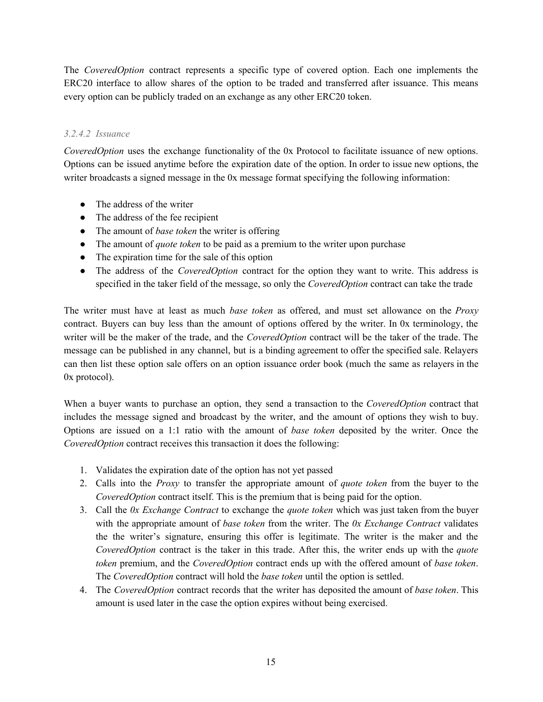The *CoveredOption* contract represents a specific type of covered option. Each one implements the ERC20 interface to allow shares of the option to be traded and transferred after issuance. This means every option can be publicly traded on an exchange as any other ERC20 token.

#### <span id="page-14-0"></span>*3.2.4.2 Issuance*

*CoveredOption* uses the exchange functionality of the 0x Protocol to facilitate issuance of new options. Options can be issued anytime before the expiration date of the option. In order to issue new options, the writer broadcasts a signed message in the 0x message format specifying the following information:

- The address of the writer
- The address of the fee recipient
- The amount of *base token* the writer is offering
- The amount of *quote token* to be paid as a premium to the writer upon purchase
- The expiration time for the sale of this option
- The address of the *CoveredOption* contract for the option they want to write. This address is specified in the taker field of the message, so only the *CoveredOption* contract can take the trade

The writer must have at least as much *base token* as offered, and must set allowance on the *Proxy* contract. Buyers can buy less than the amount of options offered by the writer. In 0x terminology, the writer will be the maker of the trade, and the *CoveredOption* contract will be the taker of the trade. The message can be published in any channel, but is a binding agreement to offer the specified sale. Relayers can then list these option sale offers on an option issuance order book (much the same as relayers in the 0x protocol).

When a buyer wants to purchase an option, they send a transaction to the *CoveredOption* contract that includes the message signed and broadcast by the writer, and the amount of options they wish to buy. Options are issued on a 1:1 ratio with the amount of *base token* deposited by the writer. Once the *CoveredOption* contract receives this transaction it does the following:

- 1. Validates the expiration date of the option has not yet passed
- 2. Calls into the *Proxy* to transfer the appropriate amount of *quote token* from the buyer to the *CoveredOption* contract itself. This is the premium that is being paid for the option.
- 3. Call the *0x Exchange Contract* to exchange the *quote token* which was just taken from the buyer with the appropriate amount of *base token* from the writer. The *0x Exchange Contract* validates the the writer's signature, ensuring this offer is legitimate. The writer is the maker and the *CoveredOption* contract is the taker in this trade. After this, the writer ends up with the *quote token* premium, and the *CoveredOption* contract ends up with the offered amount of *base token*. The *CoveredOption* contract will hold the *base token* until the option is settled.
- 4. The *CoveredOption* contract records that the writer has deposited the amount of *base token*. This amount is used later in the case the option expires without being exercised.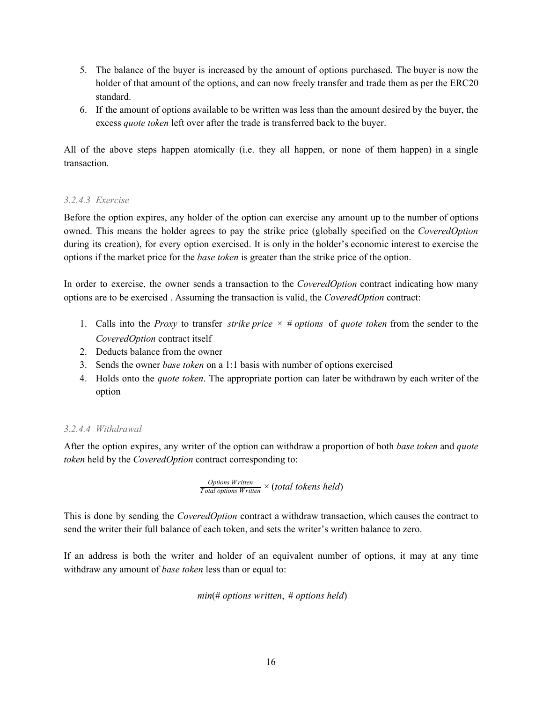- 5. The balance of the buyer is increased by the amount of options purchased. The buyer is now the holder of that amount of the options, and can now freely transfer and trade them as per the ERC20 standard.
- 6. If the amount of options available to be written was less than the amount desired by the buyer, the excess *quote token* left over after the trade is transferred back to the buyer.

All of the above steps happen atomically (i.e. they all happen, or none of them happen) in a single transaction.

#### <span id="page-15-0"></span>*3.2.4.3 Exercise*

Before the option expires, any holder of the option can exercise any amount up to the number of options owned. This means the holder agrees to pay the strike price (globally specified on the *CoveredOption* during its creation), for every option exercised. It is only in the holder's economic interest to exercise the options if the market price for the *base token* is greater than the strike price of the option.

In order to exercise, the owner sends a transaction to the *CoveredOption* contract indicating how many options are to be exercised . Assuming the transaction is valid, the *CoveredOption* contract:

- 1. Calls into the *Proxy* to transfer *strike price* × # *options* of *quote token* from the sender to the *CoveredOption* contract itself
- 2. Deducts balance from the owner
- 3. Sends the owner *base token* on a 1:1 basis with number of options exercised
- 4. Holds onto the *quote token*. The appropriate portion can later be withdrawn by each writer of the option

#### <span id="page-15-1"></span>*3.2.4.4 Withdrawal*

After the option expires, any writer of the option can withdraw a proportion of both *base token* and *quote token* held by the *CoveredOption* contract corresponding to:

$$
\frac{Options\;W\,ritten}{Total\;options\;W\,ritten} \times (total\; tokens\; held)
$$

This is done by sending the *CoveredOption* contract a withdraw transaction, which causes the contract to send the writer their full balance of each token, and sets the writer's written balance to zero.

If an address is both the writer and holder of an equivalent number of options, it may at any time withdraw any amount of *base token* less than or equal to:

```
min(# options written, # options held)
```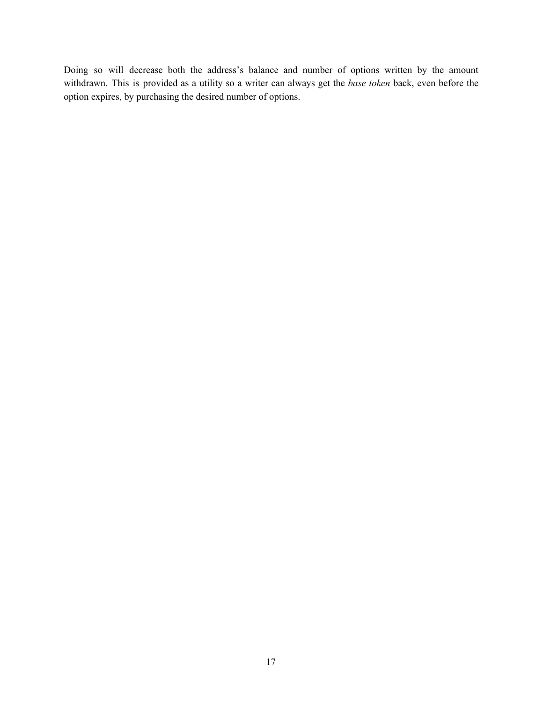Doing so will decrease both the address's balance and number of options written by the amount withdrawn. This is provided as a utility so a writer can always get the *base token* back, even before the option expires, by purchasing the desired number of options.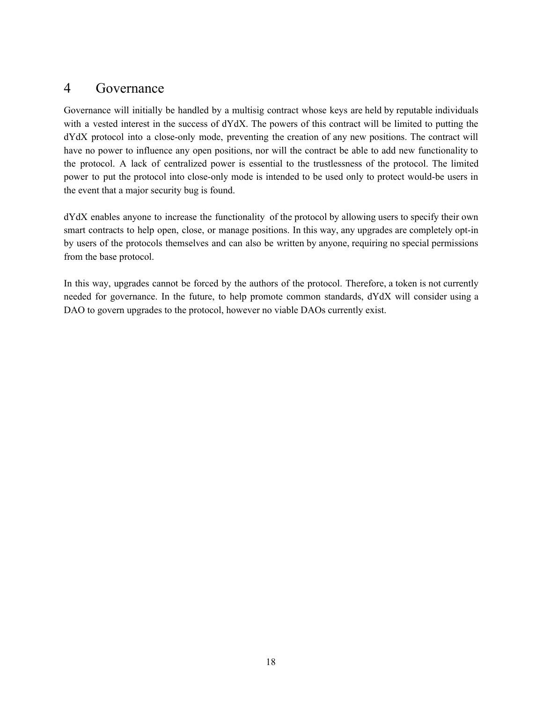### <span id="page-17-0"></span>4 Governance

Governance will initially be handled by a multisig contract whose keys are held by reputable individuals with a vested interest in the success of dYdX. The powers of this contract will be limited to putting the dYdX protocol into a close-only mode, preventing the creation of any new positions. The contract will have no power to influence any open positions, nor will the contract be able to add new functionality to the protocol. A lack of centralized power is essential to the trustlessness of the protocol. The limited power to put the protocol into close-only mode is intended to be used only to protect would-be users in the event that a major security bug is found.

dYdX enables anyone to increase the functionality of the protocol by allowing users to specify their own smart contracts to help open, close, or manage positions. In this way, any upgrades are completely opt-in by users of the protocols themselves and can also be written by anyone, requiring no special permissions from the base protocol.

In this way, upgrades cannot be forced by the authors of the protocol. Therefore, a token is not currently needed for governance. In the future, to help promote common standards, dYdX will consider using a DAO to govern upgrades to the protocol, however no viable DAOs currently exist.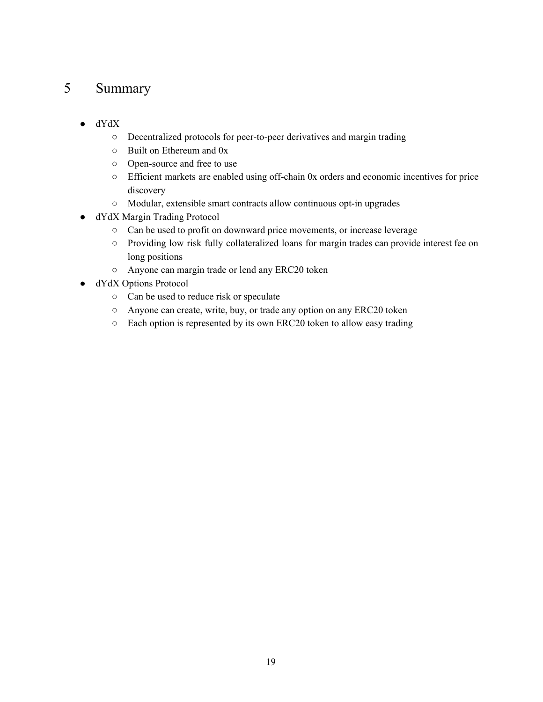### <span id="page-18-0"></span>5 Summary

- dYdX
	- Decentralized protocols for peer-to-peer derivatives and margin trading
	- Built on Ethereum and 0x
	- Open-source and free to use
	- Efficient markets are enabled using off-chain 0x orders and economic incentives for price discovery
	- Modular, extensible smart contracts allow continuous opt-in upgrades
- dYdX Margin Trading Protocol
	- Can be used to profit on downward price movements, or increase leverage
	- Providing low risk fully collateralized loans for margin trades can provide interest fee on long positions
	- Anyone can margin trade or lend any ERC20 token
- dYdX Options Protocol
	- Can be used to reduce risk or speculate
	- Anyone can create, write, buy, or trade any option on any ERC20 token
	- Each option is represented by its own ERC20 token to allow easy trading